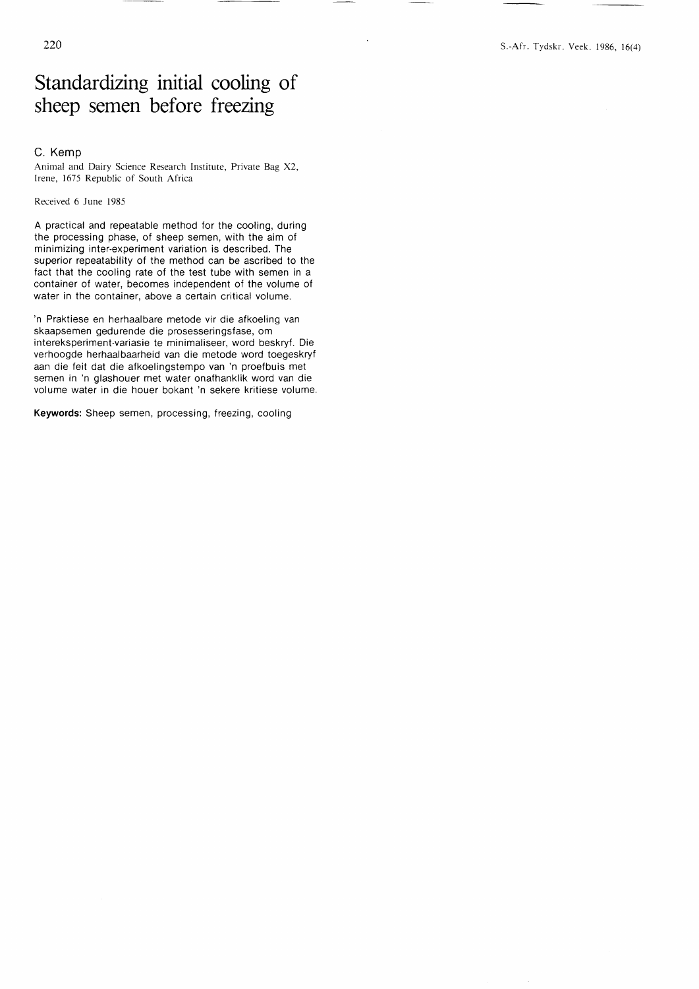## Standardizing initial cooling of sheep semen before freezing

## C. Kemp

Animal and Dairy Science Research Institute, Private Bag X2, Irene, 1675 Republic of South Africa

Received 6 June 1985

A practical and repeatable method for the cooling, during the processing phase, of sheep semen, with the aim of minimizing inter-experiment variation is described. The superior repeatability of the method can be ascribed to the fact that the cooling rate of the test tube with semen in a container of water, becomes independent of the volume of water in the container, above a certain critical volume.

'n Praktiese en herhaalbare metode vir die afkoeling van skaapsemen gedurende die prosesseringsfase, om intereksperiment-variasie te minimaliseer, word beskryf. Die verhoogde herhaalbaarheid van die metode word toegeskryf aan die feit dat die afkoelingstempo van 'n proefbuis met semen in 'n glashouer met water onafhanklik word van die volume water in die houer bokant 'n sekere kritiese volume.

Keywords: Sheep semen, processing, freezing, cooling